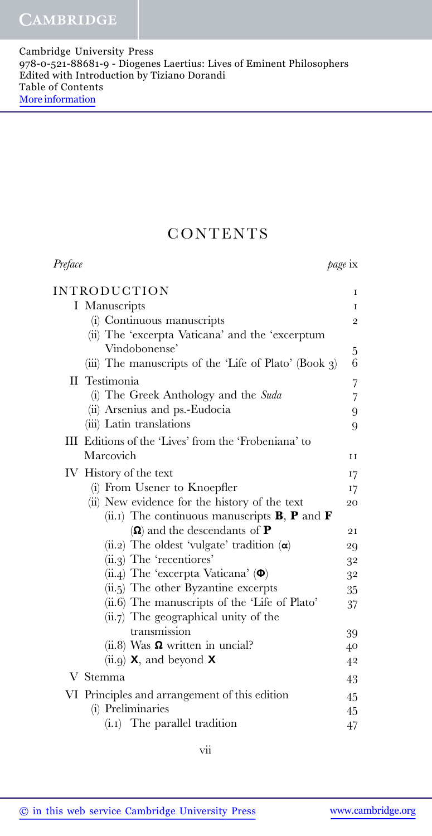## **CONTENTS**

| Preface                                                            | page ix        |
|--------------------------------------------------------------------|----------------|
| <b>INTRODUCTION</b>                                                | 1              |
| I Manuscripts                                                      | I              |
| (i) Continuous manuscripts                                         | $\overline{2}$ |
| (ii) The 'excerpta Vaticana' and the 'excerptum                    |                |
| Vindobonense'                                                      | $\mathbf 5$    |
| (iii) The manuscripts of the 'Life of Plato' (Book $3$ )           | 6              |
| II Testimonia                                                      | $\overline{7}$ |
| (i) The Greek Anthology and the Suda                               | $\overline{7}$ |
| (ii) Arsenius and ps.-Eudocia                                      | 9              |
| (iii) Latin translations                                           | 9              |
| III Editions of the 'Lives' from the 'Frobeniana' to               |                |
| Marcovich                                                          | H              |
| IV History of the text                                             | 17             |
| (i) From Usener to Knoepfler                                       | 17             |
| (ii) New evidence for the history of the text                      | 20             |
| (ii.1) The continuous manuscripts <b>B</b> , <b>P</b> and <b>F</b> |                |
| $(\Omega)$ and the descendants of <b>P</b>                         | 21             |
| (ii.2) The oldest 'vulgate' tradition $(\alpha)$                   | 29             |
| $(ii.3)$ The 'recentiores'                                         | 32             |
| (ii.4) The 'excerpta Vaticana' $(\Phi)$                            | 32             |
| $(ii.5)$ The other Byzantine excerpts                              | 35             |
| (ii.6) The manuscripts of the 'Life of Plato'                      | 37             |
| $(ii.7)$ The geographical unity of the                             |                |
| transmission                                                       | 39             |
| $(ii.8)$ Was $\Omega$ written in uncial?                           | 40             |
| (ii.9) $\mathsf{X}$ , and beyond $\mathsf{X}$                      | 4 <sup>2</sup> |
| V Stemma                                                           | 43             |
| VI Principles and arrangement of this edition                      | 45             |
| (i) Preliminaries                                                  | 45             |
| $(i.1)$ The parallel tradition                                     | 47             |